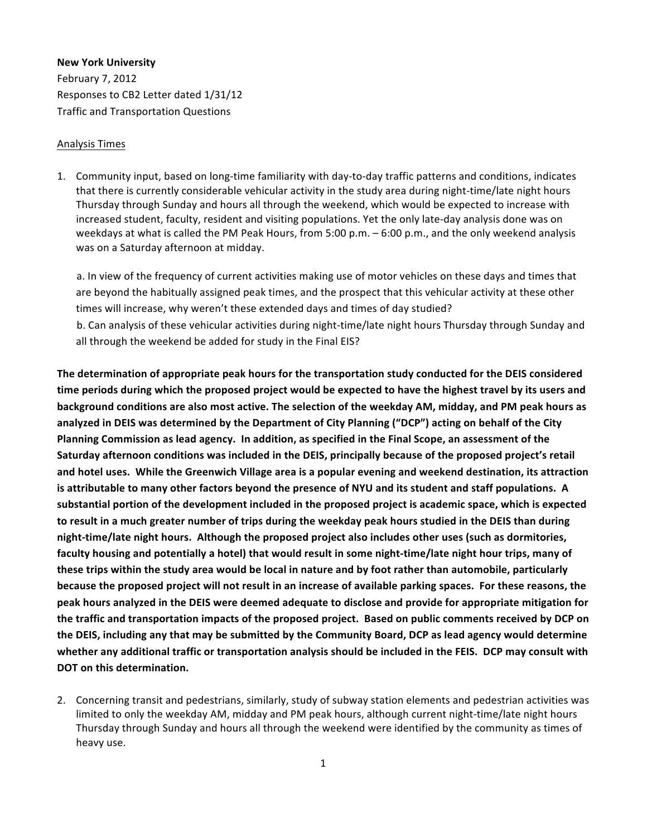#### **New York University**

February 7, 2012 Responses to CB2 Letter dated 1/31/12 Traffic and Transportation Questions

#### Analysis Times

1. Community input, based on long-time familiarity with day-to-day traffic patterns and conditions, indicates that there is currently considerable vehicular activity in the study area during night-time/late night hours Thursday through Sunday and hours all through the weekend, which would be expected to increase with increased student, faculty, resident and visiting populations. Yet the only late-day analysis done was on weekdays at what is called the PM Peak Hours, from 5:00 p.m. – 6:00 p.m., and the only weekend analysis was on a Saturday afternoon at midday.

a. In view of the frequency of current activities making use of motor vehicles on these days and times that are beyond the habitually assigned peak times, and the prospect that this vehicular activity at these other times will increase, why weren't these extended days and times of day studied?

b. Can analysis of these vehicular activities during night-time/late night hours Thursday through Sunday and all through the weekend be added for study in the Final EIS?

The determination of appropriate peak hours for the transportation study conducted for the DEIS considered time periods during which the proposed project would be expected to have the highest travel by its users and background conditions are also most active. The selection of the weekday AM, midday, and PM peak hours as analyzed in DEIS was determined by the Department of City Planning ("DCP") acting on behalf of the City Planning Commission as lead agency. In addition, as specified in the Final Scope, an assessment of the Saturday afternoon conditions was included in the DEIS, principally because of the proposed project's retail and hotel uses. While the Greenwich Village area is a popular evening and weekend destination, its attraction is attributable to many other factors beyond the presence of NYU and its student and staff populations. A substantial portion of the development included in the proposed project is academic space, which is expected to result in a much greater number of trips during the weekday peak hours studied in the DEIS than during night-time/late night hours. Although the proposed project also includes other uses (such as dormitories, faculty housing and potentially a hotel) that would result in some night-time/late night hour trips, many of these trips within the study area would be local in nature and by foot rather than automobile, particularly because the proposed project will not result in an increase of available parking spaces. For these reasons, the peak hours analyzed in the DEIS were deemed adequate to disclose and provide for appropriate mitigation for the traffic and transportation impacts of the proposed project. Based on public comments received by DCP on the DEIS, including any that may be submitted by the Community Board, DCP as lead agency would determine whether any additional traffic or transportation analysis should be included in the FEIS. DCP may consult with **DOT** on this determination.

2. Concerning transit and pedestrians, similarly, study of subway station elements and pedestrian activities was limited to only the weekday AM, midday and PM peak hours, although current night-time/late night hours Thursday through Sunday and hours all through the weekend were identified by the community as times of heavy use.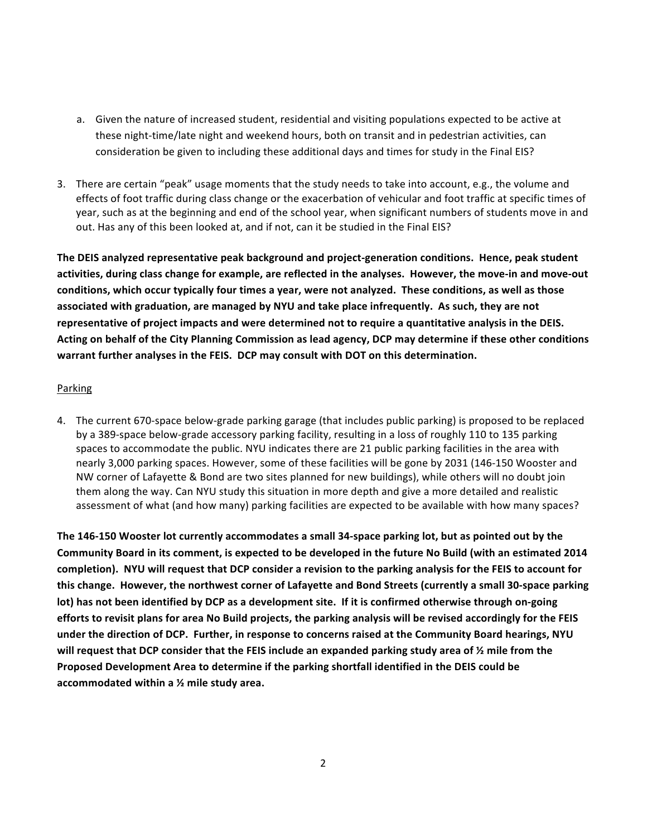- a. Given the nature of increased student, residential and visiting populations expected to be active at these night-time/late night and weekend hours, both on transit and in pedestrian activities, can consideration be given to including these additional days and times for study in the Final EIS?
- 3. There are certain "peak" usage moments that the study needs to take into account, e.g., the volume and effects of foot traffic during class change or the exacerbation of vehicular and foot traffic at specific times of year, such as at the beginning and end of the school year, when significant numbers of students move in and out. Has any of this been looked at, and if not, can it be studied in the Final EIS?

The DEIS analyzed representative peak background and project-generation conditions. Hence, peak student activities, during class change for example, are reflected in the analyses. However, the move-in and move-out conditions, which occur typically four times a year, were not analyzed. These conditions, as well as those associated with graduation, are managed by NYU and take place infrequently. As such, they are not representative of project impacts and were determined not to require a quantitative analysis in the DEIS. Acting on behalf of the City Planning Commission as lead agency, DCP may determine if these other conditions warrant further analyses in the FEIS. DCP may consult with DOT on this determination.

## **Parking**

4. The current 670-space below-grade parking garage (that includes public parking) is proposed to be replaced by a 389-space below-grade accessory parking facility, resulting in a loss of roughly 110 to 135 parking spaces to accommodate the public. NYU indicates there are 21 public parking facilities in the area with nearly 3,000 parking spaces. However, some of these facilities will be gone by 2031 (146-150 Wooster and NW corner of Lafayette & Bond are two sites planned for new buildings), while others will no doubt join them along the way. Can NYU study this situation in more depth and give a more detailed and realistic assessment of what (and how many) parking facilities are expected to be available with how many spaces?

The 146-150 Wooster lot currently accommodates a small 34-space parking lot, but as pointed out by the Community Board in its comment, is expected to be developed in the future No Build (with an estimated 2014 completion). NYU will request that DCP consider a revision to the parking analysis for the FEIS to account for this change. However, the northwest corner of Lafayette and Bond Streets (currently a small 30-space parking lot) has not been identified by DCP as a development site. If it is confirmed otherwise through on-going efforts to revisit plans for area No Build projects, the parking analysis will be revised accordingly for the FEIS under the direction of DCP. Further, in response to concerns raised at the Community Board hearings, NYU will request that DCP consider that the FEIS include an expanded parking study area of ½ mile from the Proposed Development Area to determine if the parking shortfall identified in the DEIS could be accommodated within a <sup>1/2</sup> mile study area.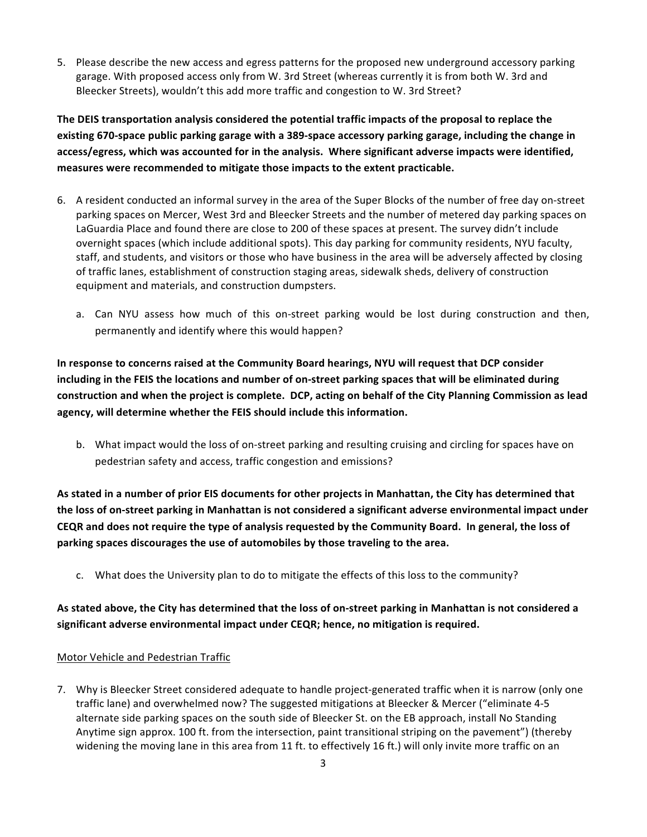5. Please describe the new access and egress patterns for the proposed new underground accessory parking garage. With proposed access only from W. 3rd Street (whereas currently it is from both W. 3rd and Bleecker Streets), wouldn't this add more traffic and congestion to W. 3rd Street?

The DEIS transportation analysis considered the potential traffic impacts of the proposal to replace the existing 670-space public parking garage with a 389-space accessory parking garage, including the change in access/egress, which was accounted for in the analysis. Where significant adverse impacts were identified, measures were recommended to mitigate those impacts to the extent practicable.

- 6. A resident conducted an informal survey in the area of the Super Blocks of the number of free day on-street parking spaces on Mercer, West 3rd and Bleecker Streets and the number of metered day parking spaces on LaGuardia Place and found there are close to 200 of these spaces at present. The survey didn't include overnight spaces (which include additional spots). This day parking for community residents, NYU faculty, staff, and students, and visitors or those who have business in the area will be adversely affected by closing of traffic lanes, establishment of construction staging areas, sidewalk sheds, delivery of construction equipment and materials, and construction dumpsters.
	- a. Can NYU assess how much of this on-street parking would be lost during construction and then, permanently and identify where this would happen?

In response to concerns raised at the Community Board hearings, NYU will request that DCP consider including in the FEIS the locations and number of on-street parking spaces that will be eliminated during construction and when the project is complete. DCP, acting on behalf of the City Planning Commission as lead agency, will determine whether the FEIS should include this information.

b. What impact would the loss of on-street parking and resulting cruising and circling for spaces have on pedestrian safety and access, traffic congestion and emissions?

As stated in a number of prior EIS documents for other projects in Manhattan, the City has determined that the loss of on-street parking in Manhattan is not considered a significant adverse environmental impact under CEQR and does not require the type of analysis requested by the Community Board. In general, the loss of parking spaces discourages the use of automobiles by those traveling to the area.

c. What does the University plan to do to mitigate the effects of this loss to the community?

As stated above, the City has determined that the loss of on-street parking in Manhattan is not considered a significant adverse environmental impact under CEQR; hence, no mitigation is required.

# Motor Vehicle and Pedestrian Traffic

7. Why is Bleecker Street considered adequate to handle project-generated traffic when it is narrow (only one traffic lane) and overwhelmed now? The suggested mitigations at Bleecker & Mercer ("eliminate 4-5 alternate side parking spaces on the south side of Bleecker St. on the EB approach, install No Standing Anytime sign approx. 100 ft. from the intersection, paint transitional striping on the pavement") (thereby widening the moving lane in this area from 11 ft. to effectively 16 ft.) will only invite more traffic on an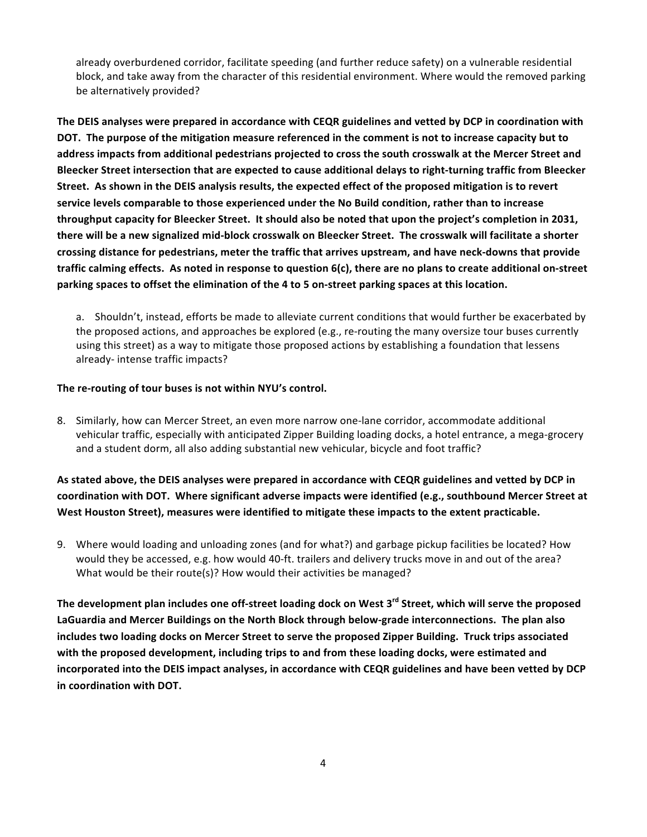already overburdened corridor, facilitate speeding (and further reduce safety) on a vulnerable residential block, and take away from the character of this residential environment. Where would the removed parking be alternatively provided?

The DEIS analyses were prepared in accordance with CEQR guidelines and vetted by DCP in coordination with DOT. The purpose of the mitigation measure referenced in the comment is not to increase capacity but to address impacts from additional pedestrians projected to cross the south crosswalk at the Mercer Street and Bleecker Street intersection that are expected to cause additional delays to right-turning traffic from Bleecker Street. As shown in the DEIS analysis results, the expected effect of the proposed mitigation is to revert service levels comparable to those experienced under the No Build condition, rather than to increase throughput capacity for Bleecker Street. It should also be noted that upon the project's completion in 2031, there will be a new signalized mid-block crosswalk on Bleecker Street. The crosswalk will facilitate a shorter crossing distance for pedestrians, meter the traffic that arrives upstream, and have neck-downs that provide traffic calming effects. As noted in response to question 6(c), there are no plans to create additional on-street parking spaces to offset the elimination of the 4 to 5 on-street parking spaces at this location.

a. Shouldn't, instead, efforts be made to alleviate current conditions that would further be exacerbated by the proposed actions, and approaches be explored (e.g., re-routing the many oversize tour buses currently using this street) as a way to mitigate those proposed actions by establishing a foundation that lessens already-intense traffic impacts?

## The re-routing of tour buses is not within NYU's control.

8. Similarly, how can Mercer Street, an even more narrow one-lane corridor, accommodate additional vehicular traffic, especially with anticipated Zipper Building loading docks, a hotel entrance, a mega-grocery and a student dorm, all also adding substantial new vehicular, bicycle and foot traffic?

As stated above, the DEIS analyses were prepared in accordance with CEQR guidelines and vetted by DCP in coordination with DOT. Where significant adverse impacts were identified (e.g., southbound Mercer Street at West Houston Street), measures were identified to mitigate these impacts to the extent practicable.

9. Where would loading and unloading zones (and for what?) and garbage pickup facilities be located? How would they be accessed, e.g. how would 40-ft. trailers and delivery trucks move in and out of the area? What would be their route(s)? How would their activities be managed?

The development plan includes one off-street loading dock on West 3<sup>rd</sup> Street, which will serve the proposed LaGuardia and Mercer Buildings on the North Block through below-grade interconnections. The plan also includes two loading docks on Mercer Street to serve the proposed Zipper Building. Truck trips associated with the proposed development, including trips to and from these loading docks, were estimated and incorporated into the DEIS impact analyses, in accordance with CEQR guidelines and have been vetted by DCP in coordination with DOT.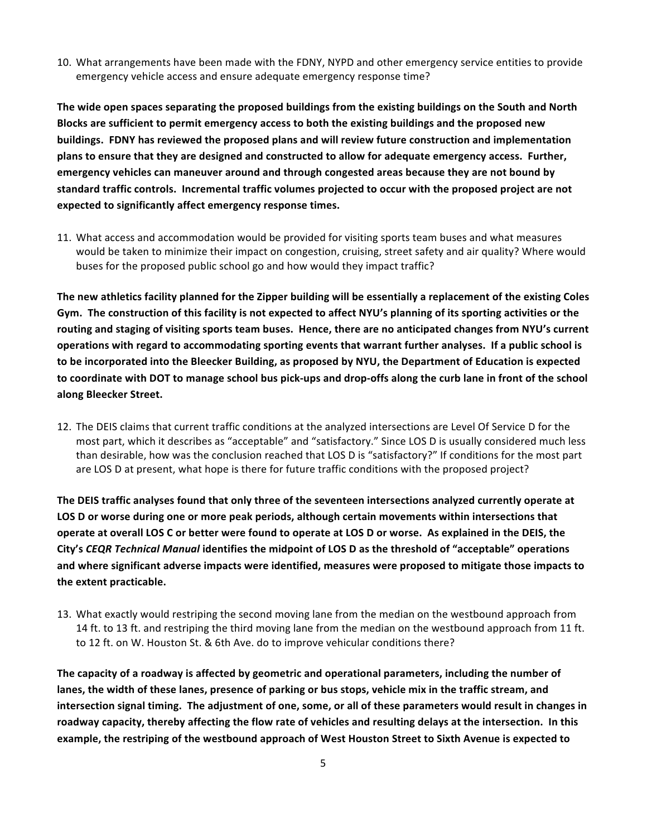10. What arrangements have been made with the FDNY, NYPD and other emergency service entities to provide emergency vehicle access and ensure adequate emergency response time?

The wide open spaces separating the proposed buildings from the existing buildings on the South and North Blocks are sufficient to permit emergency access to both the existing buildings and the proposed new buildings. FDNY has reviewed the proposed plans and will review future construction and implementation plans to ensure that they are designed and constructed to allow for adequate emergency access. Further, emergency vehicles can maneuver around and through congested areas because they are not bound by **standard traffic controls. Incremental traffic volumes projected to occur with the proposed project are not** expected to significantly affect emergency response times.

11. What access and accommodation would be provided for visiting sports team buses and what measures would be taken to minimize their impact on congestion, cruising, street safety and air quality? Where would buses for the proposed public school go and how would they impact traffic?

The new athletics facility planned for the Zipper building will be essentially a replacement of the existing Coles Gym. The construction of this facility is not expected to affect NYU's planning of its sporting activities or the routing and staging of visiting sports team buses. Hence, there are no anticipated changes from NYU's current operations with regard to accommodating sporting events that warrant further analyses. If a public school is to be incorporated into the Bleecker Building, as proposed by NYU, the Department of Education is expected to coordinate with DOT to manage school bus pick-ups and drop-offs along the curb lane in front of the school along Bleecker Street.

12. The DEIS claims that current traffic conditions at the analyzed intersections are Level Of Service D for the most part, which it describes as "acceptable" and "satisfactory." Since LOS D is usually considered much less than desirable, how was the conclusion reached that LOS D is "satisfactory?" If conditions for the most part are LOS D at present, what hope is there for future traffic conditions with the proposed project?

The DEIS traffic analyses found that only three of the seventeen intersections analyzed currently operate at LOS D or worse during one or more peak periods, although certain movements within intersections that **operate at overall LOS C or better were found to operate at LOS D or worse. As explained in the DEIS, the** City's CEQR Technical Manual identifies the midpoint of LOS D as the threshold of "acceptable" operations and where significant adverse impacts were identified, measures were proposed to mitigate those impacts to the extent practicable.

13. What exactly would restriping the second moving lane from the median on the westbound approach from 14 ft. to 13 ft. and restriping the third moving lane from the median on the westbound approach from 11 ft. to 12 ft. on W. Houston St. & 6th Ave. do to improve vehicular conditions there?

The capacity of a roadway is affected by geometric and operational parameters, including the number of lanes, the width of these lanes, presence of parking or bus stops, vehicle mix in the traffic stream, and intersection signal timing. The adjustment of one, some, or all of these parameters would result in changes in roadway capacity, thereby affecting the flow rate of vehicles and resulting delays at the intersection. In this example, the restriping of the westbound approach of West Houston Street to Sixth Avenue is expected to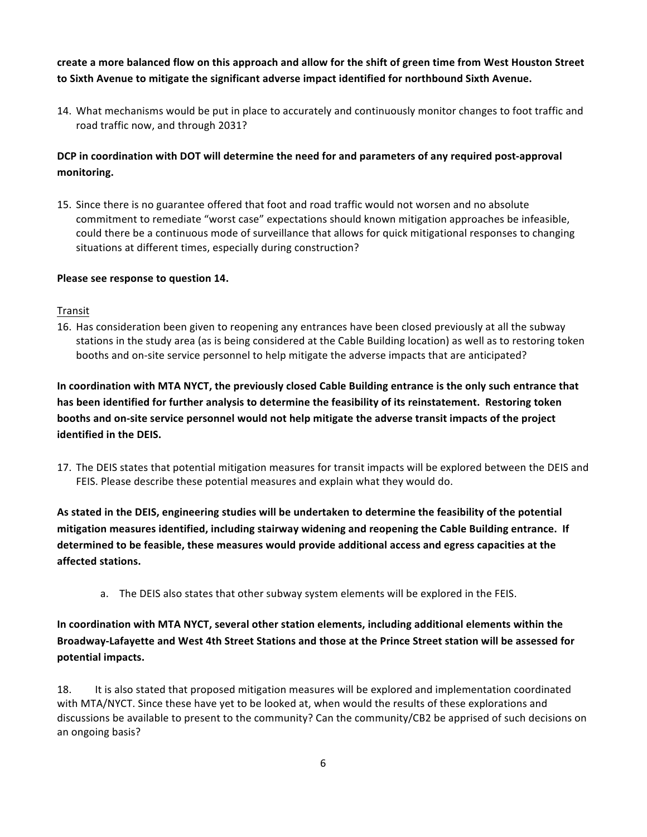create a more balanced flow on this approach and allow for the shift of green time from West Houston Street to Sixth Avenue to mitigate the significant adverse impact identified for northbound Sixth Avenue.

14. What mechanisms would be put in place to accurately and continuously monitor changes to foot traffic and road traffic now, and through 2031?

# DCP in coordination with DOT will determine the need for and parameters of any required post-approval monitoring.

15. Since there is no guarantee offered that foot and road traffic would not worsen and no absolute commitment to remediate "worst case" expectations should known mitigation approaches be infeasible, could there be a continuous mode of surveillance that allows for quick mitigational responses to changing situations at different times, especially during construction?

# Please see response to question 14.

Transit

16. Has consideration been given to reopening any entrances have been closed previously at all the subway stations in the study area (as is being considered at the Cable Building location) as well as to restoring token booths and on-site service personnel to help mitigate the adverse impacts that are anticipated?

In coordination with MTA NYCT, the previously closed Cable Building entrance is the only such entrance that has been identified for further analysis to determine the feasibility of its reinstatement. Restoring token booths and on-site service personnel would not help mitigate the adverse transit impacts of the project identified in the DEIS.

17. The DEIS states that potential mitigation measures for transit impacts will be explored between the DEIS and FEIS. Please describe these potential measures and explain what they would do.

As stated in the DEIS, engineering studies will be undertaken to determine the feasibility of the potential mitigation measures identified, including stairway widening and reopening the Cable Building entrance. If determined to be feasible, these measures would provide additional access and egress capacities at the affected stations.

a. The DEIS also states that other subway system elements will be explored in the FEIS.

In coordination with MTA NYCT, several other station elements, including additional elements within the Broadway-Lafayette and West 4th Street Stations and those at the Prince Street station will be assessed for potential impacts.

18. It is also stated that proposed mitigation measures will be explored and implementation coordinated with MTA/NYCT. Since these have yet to be looked at, when would the results of these explorations and discussions be available to present to the community? Can the community/CB2 be apprised of such decisions on an ongoing basis?